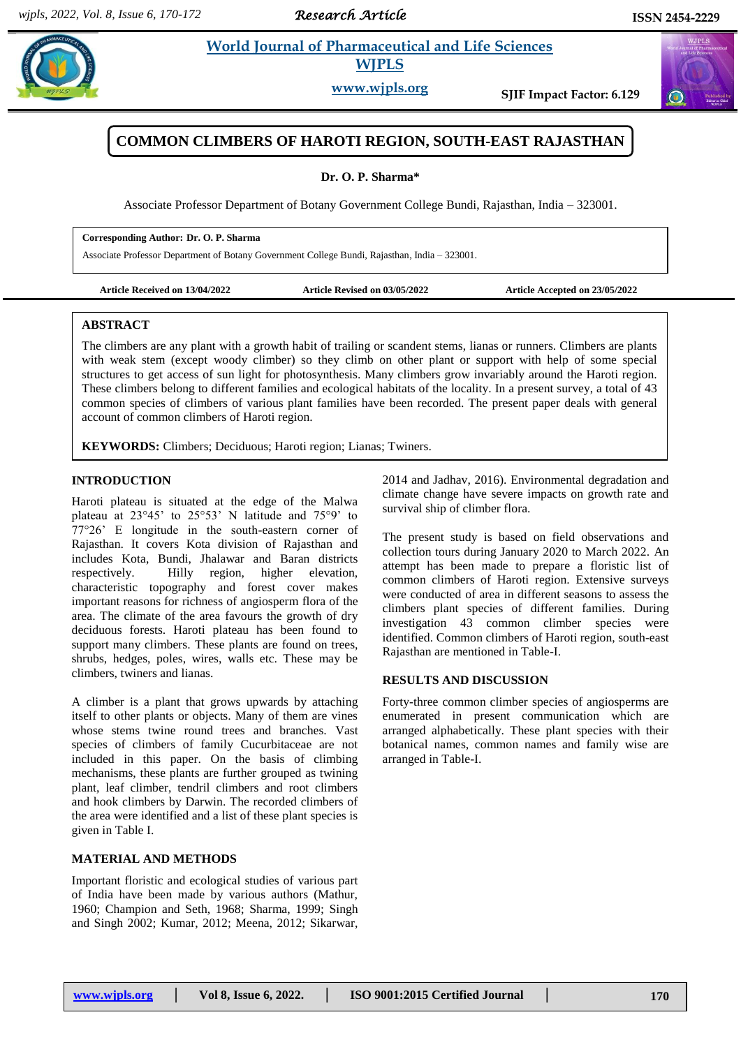*Research Article* 



**Share 2.1 <b>World Journal of Pharmaceutical and Life Sciences** 

**WJPLS**

**www.wjpls.org SJIF Impact Factor: 6.129**



# **COMMON CLIMBERS OF HAROTI REGION, SOUTH-EAST RAJASTHAN**

## **Dr. O. P. Sharma\***

Associate Professor Department of Botany Government College Bundi, Rajasthan, India – 323001.

#### **Corresponding Author: Dr. O. P. Sharma**

Associate Professor Department of Botany Government College Bundi, Rajasthan, India – 323001.

**Article Received on 13/04/2022 Article Revised on 03/05/2022 Article Accepted on 23/05/2022**

## **ABSTRACT**

The climbers are any plant with a growth habit of trailing or scandent stems, lianas or runners. Climbers are plants with weak stem (except woody climber) so they climb on other plant or support with help of some special structures to get access of sun light for photosynthesis. Many climbers grow invariably around the Haroti region. These climbers belong to different families and ecological habitats of the locality. In a present survey, a total of 43 common species of climbers of various plant families have been recorded. The present paper deals with general account of common climbers of Haroti region.

**KEYWORDS:** Climbers; Deciduous; Haroti region; Lianas; Twiners.

# **INTRODUCTION**

Haroti plateau is situated at the edge of the Malwa plateau at 23°45' to 25°53' N latitude and 75°9' to 77°26' E longitude in the south-eastern corner of Rajasthan. It covers Kota division of Rajasthan and includes Kota, Bundi, Jhalawar and Baran districts respectively. Hilly region, higher elevation, characteristic topography and forest cover makes important reasons for richness of angiosperm flora of the area. The climate of the area favours the growth of dry deciduous forests. Haroti plateau has been found to support many climbers. These plants are found on trees, shrubs, hedges, poles, wires, walls etc. These may be climbers, twiners and lianas.

A climber is a plant that grows upwards by attaching itself to other plants or objects. Many of them are vines whose stems twine round trees and branches. Vast species of climbers of family Cucurbitaceae are not included in this paper. On the basis of climbing mechanisms, these plants are further grouped as twining plant, leaf climber, tendril climbers and root climbers and hook climbers by Darwin. The recorded climbers of the area were identified and a list of these plant species is given in Table I.

# **MATERIAL AND METHODS**

Important floristic and ecological studies of various part of India have been made by various authors (Mathur, 1960; Champion and Seth, 1968; Sharma, 1999; Singh and Singh 2002; Kumar, 2012; Meena, 2012; Sikarwar,

2014 and Jadhav, 2016). Environmental degradation and climate change have severe impacts on growth rate and survival ship of climber flora.

The present study is based on field observations and collection tours during January 2020 to March 2022. An attempt has been made to prepare a floristic list of common climbers of Haroti region. Extensive surveys were conducted of area in different seasons to assess the climbers plant species of different families. During investigation 43 common climber species were identified. Common climbers of Haroti region, south-east Rajasthan are mentioned in Table-I.

## **RESULTS AND DISCUSSION**

Forty-three common climber species of angiosperms are enumerated in present communication which are arranged alphabetically. These plant species with their botanical names, common names and family wise are arranged in Table-I.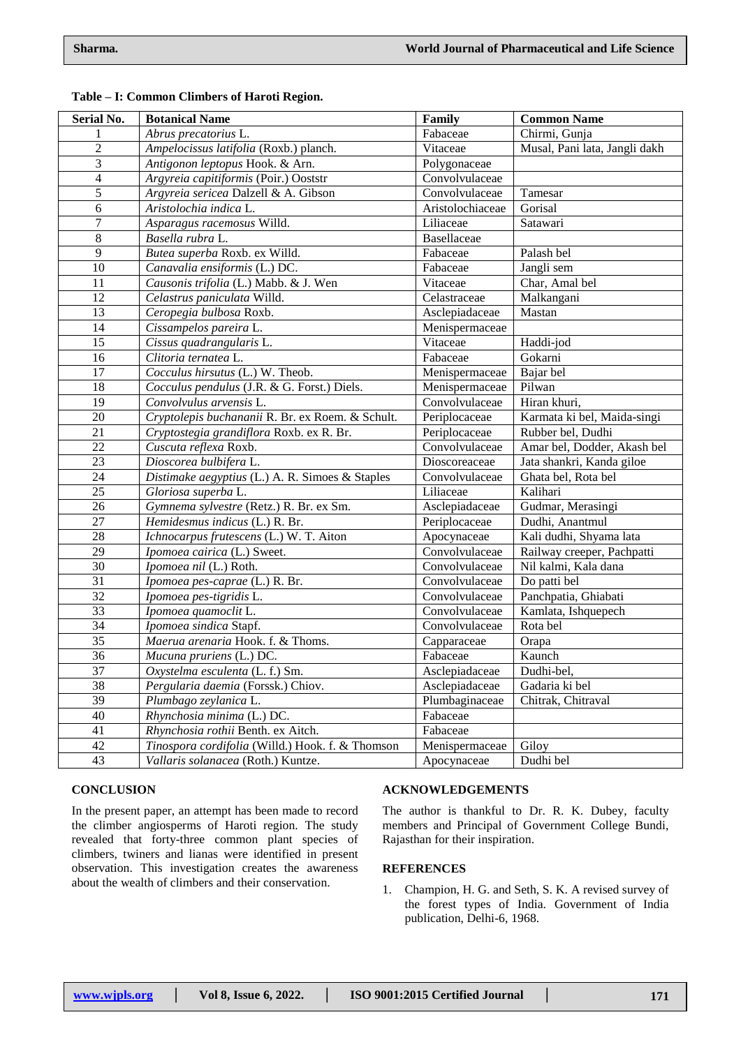| <b>Serial No.</b> | <b>Botanical Name</b>                            | Family           | <b>Common Name</b>            |
|-------------------|--------------------------------------------------|------------------|-------------------------------|
|                   | Abrus precatorius L.                             | Fabaceae         | Chirmi, Gunja                 |
| $\sqrt{2}$        | Ampelocissus latifolia (Roxb.) planch.           | Vitaceae         | Musal, Pani lata, Jangli dakh |
| $\overline{3}$    | Antigonon leptopus Hook. & Arn.                  | Polygonaceae     |                               |
| $\overline{4}$    | Argyreia capitiformis (Poir.) Ooststr            | Convolvulaceae   |                               |
| $\overline{5}$    | Argyreia sericea Dalzell & A. Gibson             | Convolvulaceae   | Tamesar                       |
| $\overline{6}$    | Aristolochia indica L.                           | Aristolochiaceae | Gorisal                       |
| $\boldsymbol{7}$  | Asparagus racemosus Willd.                       | Liliaceae        | Satawari                      |
| $\,8\,$           | Basella rubra L.                                 | Basellaceae      |                               |
| 9                 | Butea superba Roxb. ex Willd.                    | Fabaceae         | Palash bel                    |
| $10\,$            | Canavalia ensiformis (L.) DC.                    | Fabaceae         | Jangli sem                    |
| 11                | Causonis trifolia (L.) Mabb. & J. Wen            | Vitaceae         | Char, Amal bel                |
| 12                | Celastrus paniculata Willd.                      | Celastraceae     | Malkangani                    |
| 13                | Ceropegia bulbosa Roxb.                          | Asclepiadaceae   | Mastan                        |
| 14                | Cissampelos pareira L.                           | Menispermaceae   |                               |
| 15                | Cissus quadrangularis L.                         | Vitaceae         | Haddi-jod                     |
| 16                | Clitoria ternatea L.                             | Fabaceae         | Gokarni                       |
| 17                | Cocculus hirsutus (L.) W. Theob.                 | Menispermaceae   | Bajar bel                     |
| 18                | Cocculus pendulus (J.R. & G. Forst.) Diels.      | Menispermaceae   | Pilwan                        |
| 19                | Convolvulus arvensis L.                          | Convolvulaceae   | Hiran khuri,                  |
| $20\,$            | Cryptolepis buchananii R. Br. ex Roem. & Schult. | Periplocaceae    | Karmata ki bel, Maida-singi   |
| 21                | Cryptostegia grandiflora Roxb. ex R. Br.         | Periplocaceae    | Rubber bel, Dudhi             |
| 22                | Cuscuta reflexa Roxb.                            | Convolvulaceae   | Amar bel, Dodder, Akash bel   |
| 23                | Dioscorea bulbifera L.                           | Dioscoreaceae    | Jata shankri, Kanda giloe     |
| 24                | Distimake aegyptius (L.) A. R. Simoes & Staples  | Convolvulaceae   | Ghata bel, Rota bel           |
| 25                | Gloriosa superba L.                              | Liliaceae        | Kalihari                      |
| 26                | Gymnema sylvestre (Retz.) R. Br. ex Sm.          | Asclepiadaceae   | Gudmar, Merasingi             |
| 27                | Hemidesmus indicus (L.) R. Br.                   | Periplocaceae    | Dudhi, Anantmul               |
| 28                | Ichnocarpus frutescens (L.) W. T. Aiton          | Apocynaceae      | Kali dudhi, Shyama lata       |
| 29                | Ipomoea cairica (L.) Sweet.                      | Convolvulaceae   | Railway creeper, Pachpatti    |
| $\overline{30}$   | Ipomoea nil (L.) Roth.                           | Convolvulaceae   | Nil kalmi, Kala dana          |
| 31                | Ipomoea pes-caprae (L.) R. Br.                   | Convolvulaceae   | Do patti bel                  |
| 32                | Ipomoea pes-tigridis L.                          | Convolvulaceae   | Panchpatia, Ghiabati          |
| $\overline{33}$   | Ipomoea quamoclit L.                             | Convolvulaceae   | Kamlata, Ishquepech           |
| $\overline{34}$   | Ipomoea sindica Stapf.                           | Convolvulaceae   | Rota bel                      |
| $\overline{35}$   | Maerua arenaria Hook. f. & Thoms.                | Capparaceae      | Orapa                         |
| $\overline{36}$   | Mucuna pruriens (L.) DC.                         | Fabaceae         | Kaunch                        |
| $\overline{37}$   | Oxystelma esculenta (L. f.) Sm.                  | Asclepiadaceae   | Dudhi-bel,                    |
| 38                | Pergularia daemia (Forssk.) Chiov.               | Asclepiadaceae   | Gadaria ki bel                |
| 39                | Plumbago zeylanica L.                            | Plumbaginaceae   | Chitrak, Chitraval            |
| 40                | Rhynchosia minima (L.) DC.                       | Fabaceae         |                               |
| 41                | Rhynchosia rothii Benth. ex Aitch.               | Fabaceae         |                               |
| 42                | Tinospora cordifolia (Willd.) Hook. f. & Thomson | Menispermaceae   | Giloy                         |
| 43                | Vallaris solanacea (Roth.) Kuntze.               | Apocynaceae      | Dudhi bel                     |

#### **Table – I: Common Climbers of Haroti Region.**

#### **CONCLUSION**

In the present paper, an attempt has been made to record the climber angiosperms of Haroti region. The study revealed that forty-three common plant species of climbers, twiners and lianas were identified in present observation. This investigation creates the awareness about the wealth of climbers and their conservation.

## **ACKNOWLEDGEMENTS**

The author is thankful to Dr. R. K. Dubey, faculty members and Principal of Government College Bundi, Rajasthan for their inspiration.

#### **REFERENCES**

1. Champion, H. G. and Seth, S. K. A revised survey of the forest types of India. Government of India publication, Delhi-6, 1968.